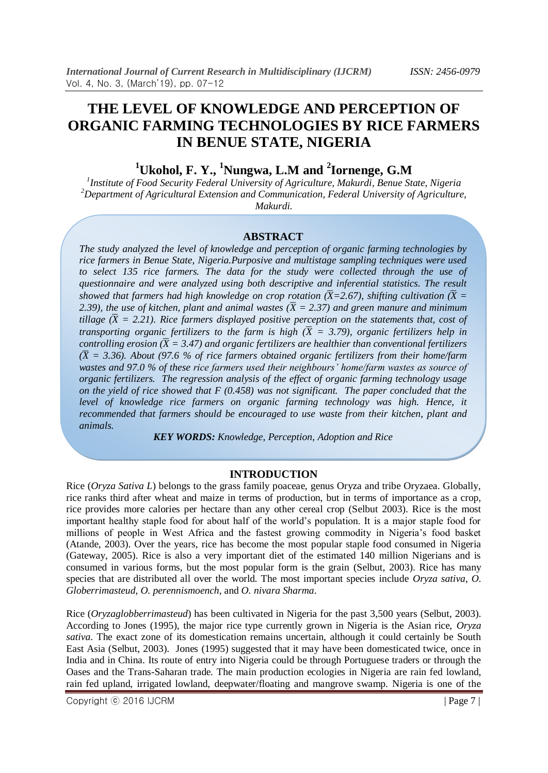# **THE LEVEL OF KNOWLEDGE AND PERCEPTION OF ORGANIC FARMING TECHNOLOGIES BY RICE FARMERS IN BENUE STATE, NIGERIA**

## **<sup>1</sup>Ukohol, F. Y., <sup>1</sup>Nungwa, L.M and <sup>2</sup> Iornenge, G.M**

*1 Institute of Food Security Federal University of Agriculture, Makurdi, Benue State, Nigeria <sup>2</sup>Department of Agricultural Extension and Communication, Federal University of Agriculture, Makurdi.*

#### **ABSTRACT**

*The study analyzed the level of knowledge and perception of organic farming technologies by rice farmers in Benue State, Nigeria.Purposive and multistage sampling techniques were used to select 135 rice farmers. The data for the study were collected through the use of questionnaire and were analyzed using both descriptive and inferential statistics. The result showed that farmers had high knowledge on crop rotation (* $\overline{X}$ *=2.67), shifting cultivation (* $\overline{X}$  *= 2.39), the use of kitchen, plant and animal wastes (X = 2.37) and green manure and minimum tillage*  $(\overline{X} = 2.21)$ . Rice farmers displayed positive perception on the statements that, cost of *transporting organic fertilizers to the farm is high*  $(\overline{X} = 3.79)$ , *organic fertilizers help in controlling erosion* ( $\overline{X}$  = 3.47) and organic fertilizers are healthier than conventional fertilizers  $(\overline{X} = 3.36)$ . About (97.6 % of rice farmers obtained organic fertilizers from their home/farm *wastes and 97.0 % of these rice farmers used their neighbours' home/farm wastes as source of organic fertilizers. The regression analysis of the effect of organic farming technology usage on the yield of rice showed that F (0.458) was not significant. The paper concluded that the level of knowledge rice farmers on organic farming technology was high. Hence, it recommended that farmers should be encouraged to use waste from their kitchen, plant and animals.*

*KEY WORDS: Knowledge, Perception, Adoption and Rice*

#### **INTRODUCTION**

Rice (*Oryza Sativa L*) belongs to the grass family poaceae, genus Oryza and tribe Oryzaea. Globally, rice ranks third after wheat and maize in terms of production, but in terms of importance as a crop, rice provides more calories per hectare than any other cereal crop (Selbut 2003). Rice is the most important healthy staple food for about half of the world's population. It is a major staple food for millions of people in West Africa and the fastest growing commodity in Nigeria's food basket (Atande, 2003). Over the years, rice has become the most popular staple food consumed in Nigeria (Gateway, 2005). Rice is also a very important diet of the estimated 140 million Nigerians and is consumed in various forms, but the most popular form is the grain (Selbut, 2003). Rice has many species that are distributed all over the world. The most important species include *Oryza sativa*, *O. Globerrimasteud*, *O. perennismoench*, and *O. nivara Sharma*.

Rice (*Oryzaglobberrimasteud*) has been cultivated in Nigeria for the past 3,500 years (Selbut, 2003). According to Jones (1995), the major rice type currently grown in Nigeria is the Asian rice, *Oryza sativa*. The exact zone of its domestication remains uncertain, although it could certainly be South East Asia (Selbut, 2003). Jones (1995) suggested that it may have been domesticated twice, once in India and in China. Its route of entry into Nigeria could be through Portuguese traders or through the Oases and the Trans-Saharan trade. The main production ecologies in Nigeria are rain fed lowland, rain fed upland, irrigated lowland, deepwater/floating and mangrove swamp. Nigeria is one of the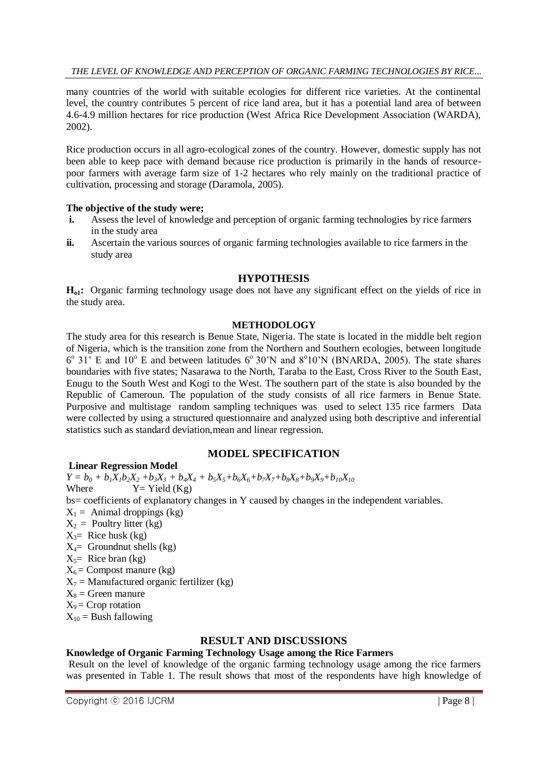#### *THE LEVEL OF KNOWLEDGE AND PERCEPTION OF ORGANIC FARMING TECHNOLOGIES BY RICE...*

many countries of the world with suitable ecologies for different rice varieties. At the continental level, the country contributes 5 percent of rice land area, but it has a potential land area of between 4.6-4.9 million hectares for rice production (West Africa Rice Development Association (WARDA), 2002).

Rice production occurs in all agro-ecological zones of the country. However, domestic supply has not been able to keep pace with demand because rice production is primarily in the hands of resourcepoor farmers with average farm size of 1-2 hectares who rely mainly on the traditional practice of cultivation, processing and storage (Daramola, 2005).

#### **The objective of the study were;**

- **i.** Assess the level of knowledge and perception of organic farming technologies by rice farmers in the study area
- **ii.** Ascertain the various sources of organic farming technologies available to rice farmers in the study area

#### **HYPOTHESIS**

**Ho1:** Organic farming technology usage does not have any significant effect on the yields of rice in the study area.

#### **METHODOLOGY**

The study area for this research is Benue State, Nigeria. The state is located in the middle belt region of Nigeria, which is the transition zone from the Northern and Southern ecologies, between longitude  $6^{\circ}$  31<sup>'</sup> E and 10<sup>°</sup> E and between latitudes  $6^{\circ}$  30'N and  $8^{\circ}$ 10'N (BNARDA, 2005). The state shares boundaries with five states; Nasarawa to the North, Taraba to the East, Cross River to the South East, Enugu to the South West and Kogi to the West. The southern part of the state is also bounded by the Republic of Cameroun. The population of the study consists of all rice farmers in Benue State. Purposive and multistage random sampling techniques was used to select 135 rice farmers Data were collected by using a structured questionnaire and analyzed using both descriptive and inferential statistics such as standard deviation,mean and linear regression.

#### **MODEL SPECIFICATION**

**Linear Regression Model**  $Y = b_0 + b_1 X_1 b_2 X_2 + b_3 X_3 + b_4 X_4 + b_5 X_5 + b_6 X_6 + b_7 X_7 + b_8 X_8 + b_9 X_9 + b_{10} X_{10}$ Where  $Y = Yield (Kg)$ bs= coefficients of explanatory changes in Y caused by changes in the independent variables.  $X_1$  = Animal droppings (kg)  $X_2$  = Poultry litter (kg)  $X_3$ = Rice husk (kg)  $X_4$ = Groundnut shells (kg)  $X<sub>5</sub>=$  Rice bran (kg)  $X_6$  = Compost manure (kg)  $X_7$  = Manufactured organic fertilizer (kg)  $X_8$  = Green manure  $X_9$  = Crop rotation  $X_{10}$  = Bush fallowing

#### **RESULT AND DISCUSSIONS**

## **Knowledge of Organic Farming Technology Usage among the Rice Farmers**

Result on the level of knowledge of the organic farming technology usage among the rice farmers was presented in Table 1. The result shows that most of the respondents have high knowledge of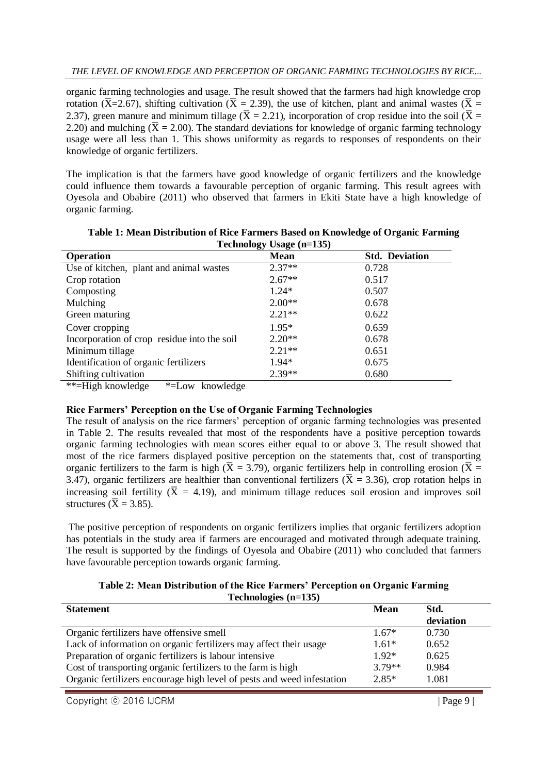organic farming technologies and usage. The result showed that the farmers had high knowledge crop rotation ( $\overline{X}$ =2.67), shifting cultivation ( $\overline{X}$  = 2.39), the use of kitchen, plant and animal wastes ( $\overline{X}$  = 2.37), green manure and minimum tillage ( $\overline{X} = 2.21$ ), incorporation of crop residue into the soil ( $\overline{X} =$ 2.20) and mulching ( $\bar{X} = 2.00$ ). The standard deviations for knowledge of organic farming technology usage were all less than 1. This shows uniformity as regards to responses of respondents on their knowledge of organic fertilizers.

The implication is that the farmers have good knowledge of organic fertilizers and the knowledge could influence them towards a favourable perception of organic farming. This result agrees with Oyesola and Obabire (2011) who observed that farmers in Ekiti State have a high knowledge of organic farming.

|                                                                                                                    | ~<br>- - - - <del>o</del> - - - |                       |
|--------------------------------------------------------------------------------------------------------------------|---------------------------------|-----------------------|
| <b>Operation</b>                                                                                                   | <b>Mean</b>                     | <b>Std. Deviation</b> |
| Use of kitchen, plant and animal wastes                                                                            | $2.37**$                        | 0.728                 |
| Crop rotation                                                                                                      | $2.67**$                        | 0.517                 |
| Composting                                                                                                         | $1.24*$                         | 0.507                 |
| Mulching                                                                                                           | $2.00**$                        | 0.678                 |
| Green maturing                                                                                                     | $2.21**$                        | 0.622                 |
| Cover cropping                                                                                                     | $1.95*$                         | 0.659                 |
| Incorporation of crop residue into the soil                                                                        | $2.20**$                        | 0.678                 |
| Minimum tillage                                                                                                    | $2.21**$                        | 0.651                 |
| Identification of organic fertilizers                                                                              | $1.94*$                         | 0.675                 |
| Shifting cultivation                                                                                               | $2.39**$                        | 0.680                 |
| $\mathbf{\Psi}$ <b>T</b> $\mathbf{1}$ and $\mathbf{1}$ <b>1</b> and $\mathbf{1}$ and $\mathbf{1}$ and $\mathbf{1}$ |                                 |                       |

**Table 1: Mean Distribution of Rice Farmers Based on Knowledge of Organic Farming Technology Usage (n=135)**

\*\*=High knowledge \*=Low knowledge

#### **Rice Farmers' Perception on the Use of Organic Farming Technologies**

The result of analysis on the rice farmers' perception of organic farming technologies was presented in Table 2. The results revealed that most of the respondents have a positive perception towards organic farming technologies with mean scores either equal to or above 3. The result showed that most of the rice farmers displayed positive perception on the statements that, cost of transporting organic fertilizers to the farm is high ( $\overline{X} = 3.79$ ), organic fertilizers help in controlling erosion ( $\overline{X} =$ 3.47), organic fertilizers are healthier than conventional fertilizers ( $\bar{X}$  = 3.36), crop rotation helps in increasing soil fertility ( $\bar{X} = 4.19$ ), and minimum tillage reduces soil erosion and improves soil structures ( $\overline{X}$  = 3.85).

The positive perception of respondents on organic fertilizers implies that organic fertilizers adoption has potentials in the study area if farmers are encouraged and motivated through adequate training. The result is supported by the findings of Oyesola and Obabire (2011) who concluded that farmers have favourable perception towards organic farming.

| Table 2: Mean Distribution of the Rice Farmers' Perception on Organic Farming |      |     |
|-------------------------------------------------------------------------------|------|-----|
| Technologies $(n=135)$                                                        |      |     |
| amant                                                                         | Moon | 5td |

| <b>Statement</b>                                                       | Mean     | Std.      |  |
|------------------------------------------------------------------------|----------|-----------|--|
|                                                                        |          | deviation |  |
| Organic fertilizers have offensive smell                               | $1.67*$  | 0.730     |  |
| Lack of information on organic fertilizers may affect their usage      | $1.61*$  | 0.652     |  |
| Preparation of organic fertilizers is labour intensive                 | $1.92*$  | 0.625     |  |
| Cost of transporting organic fertilizers to the farm is high           | $3.79**$ | 0.984     |  |
| Organic fertilizers encourage high level of pests and weed infestation | $2.85*$  | 1.081     |  |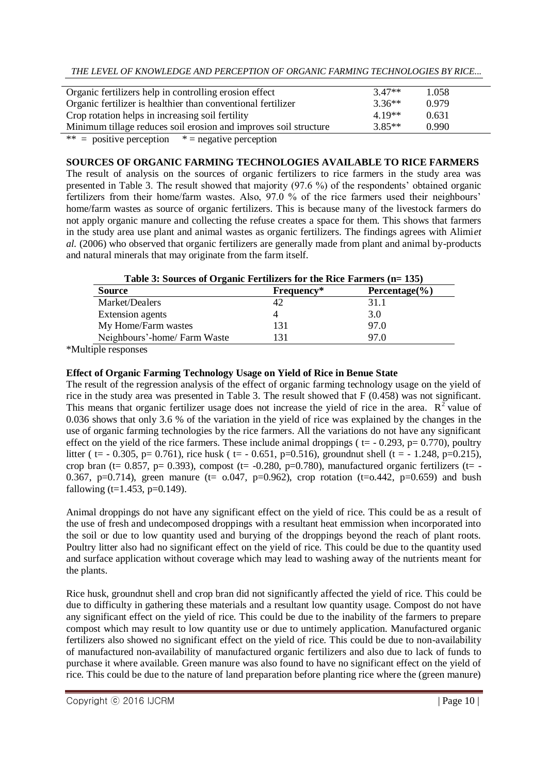| Organic fertilizers help in controlling erosion effect                                                                                                                                                                                                                                                                                                                                                                                                                  | $3.47**$ | 1.058 |  |
|-------------------------------------------------------------------------------------------------------------------------------------------------------------------------------------------------------------------------------------------------------------------------------------------------------------------------------------------------------------------------------------------------------------------------------------------------------------------------|----------|-------|--|
| Organic fertilizer is healthier than conventional fertilizer                                                                                                                                                                                                                                                                                                                                                                                                            | $3.36**$ | 0.979 |  |
| Crop rotation helps in increasing soil fertility                                                                                                                                                                                                                                                                                                                                                                                                                        | 4 19**   | 0.631 |  |
| Minimum tillage reduces soil erosion and improves soil structure                                                                                                                                                                                                                                                                                                                                                                                                        | $3.85**$ | 0.990 |  |
| $\sim$ . The contract of the contract of the contract of the contract of the contract of the contract of the contract of the contract of the contract of the contract of the contract of the contract of the contract of the co<br>$\blacksquare$ . The contract of the contract of the contract of the contract of the contract of the contract of the contract of the contract of the contract of the contract of the contract of the contract of the contract of the |          |       |  |

|  |  | THE LEVEL OF KNOWLEDGE AND PERCEPTION OF ORGANIC FARMING TECHNOLOGIES BY RICE |
|--|--|-------------------------------------------------------------------------------|
|  |  |                                                                               |

\*\* = positive perception  $*$  = negative perception

#### **SOURCES OF ORGANIC FARMING TECHNOLOGIES AVAILABLE TO RICE FARMERS**

The result of analysis on the sources of organic fertilizers to rice farmers in the study area was presented in Table 3. The result showed that majority (97.6 %) of the respondents' obtained organic fertilizers from their home/farm wastes. Also, 97.0 % of the rice farmers used their neighbours' home/farm wastes as source of organic fertilizers. This is because many of the livestock farmers do not apply organic manure and collecting the refuse creates a space for them. This shows that farmers in the study area use plant and animal wastes as organic fertilizers. The findings agrees with Alimi*et al.* (2006) who observed that organic fertilizers are generally made from plant and animal by-products and natural minerals that may originate from the farm itself.

| Table 3: Sources of Organic Fertilizers for the Rice Farmers (n= 135) |            |                    |  |  |
|-----------------------------------------------------------------------|------------|--------------------|--|--|
| <b>Source</b>                                                         | Frequency* | Percentage $(\% )$ |  |  |
| Market/Dealers                                                        | 42         | 31.1               |  |  |
| Extension agents                                                      |            | 3.0                |  |  |
| My Home/Farm wastes                                                   | 131        | 97.0               |  |  |
| Neighbours'-home/Farm Waste                                           | 131        | 97.0               |  |  |

\*Multiple responses

## **Effect of Organic Farming Technology Usage on Yield of Rice in Benue State**

The result of the regression analysis of the effect of organic farming technology usage on the yield of rice in the study area was presented in Table 3. The result showed that F (0.458) was not significant. This means that organic fertilizer usage does not increase the yield of rice in the area.  $R^2$  value of 0.036 shows that only 3.6 % of the variation in the yield of rice was explained by the changes in the use of organic farming technologies by the rice farmers. All the variations do not have any significant effect on the yield of the rice farmers. These include animal droppings ( $t = -0.293$ ,  $p = 0.770$ ), poultry litter ( t= - 0.305, p= 0.761), rice husk ( t= - 0.651, p=0.516), groundnut shell (t = - 1.248, p=0.215), crop bran (t= 0.857, p= 0.393), compost (t=  $-0.280$ , p=0.780), manufactured organic fertilizers (t=  $-$ 0.367, p=0.714), green manure (t=  $0.047$ , p=0.962), crop rotation (t=0.442, p=0.659) and bush fallowing  $(t=1.453, p=0.149)$ .

Animal droppings do not have any significant effect on the yield of rice. This could be as a result of the use of fresh and undecomposed droppings with a resultant heat emmission when incorporated into the soil or due to low quantity used and burying of the droppings beyond the reach of plant roots. Poultry litter also had no significant effect on the yield of rice. This could be due to the quantity used and surface application without coverage which may lead to washing away of the nutrients meant for the plants.

Rice husk, groundnut shell and crop bran did not significantly affected the yield of rice. This could be due to difficulty in gathering these materials and a resultant low quantity usage. Compost do not have any significant effect on the yield of rice. This could be due to the inability of the farmers to prepare compost which may result to low quantity use or due to untimely application. Manufactured organic fertilizers also showed no significant effect on the yield of rice. This could be due to non-availability of manufactured non-availability of manufactured organic fertilizers and also due to lack of funds to purchase it where available. Green manure was also found to have no significant effect on the yield of rice. This could be due to the nature of land preparation before planting rice where the (green manure)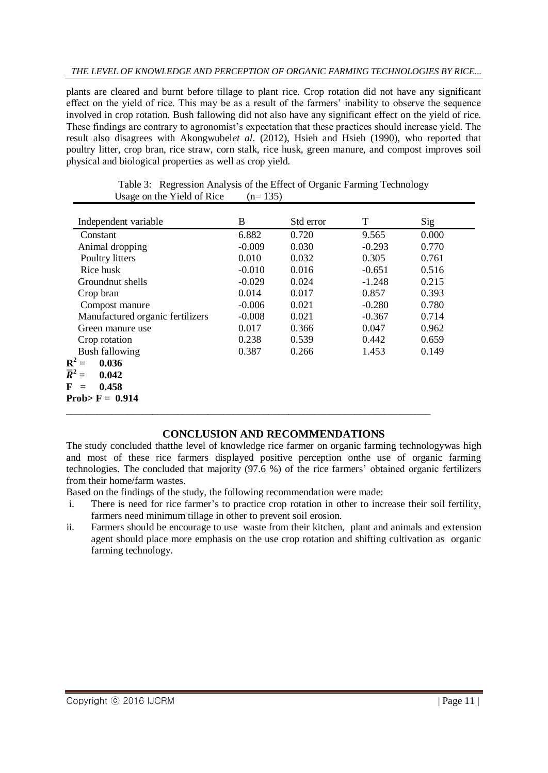#### *THE LEVEL OF KNOWLEDGE AND PERCEPTION OF ORGANIC FARMING TECHNOLOGIES BY RICE...*

plants are cleared and burnt before tillage to plant rice. Crop rotation did not have any significant effect on the yield of rice. This may be as a result of the farmers' inability to observe the sequence involved in crop rotation. Bush fallowing did not also have any significant effect on the yield of rice. These findings are contrary to agronomist's expectation that these practices should increase yield. The result also disagrees with Akongwubel*et al*. (2012), Hsieh and Hsieh (1990), who reported that poultry litter, crop bran, rice straw, corn stalk, rice husk, green manure, and compost improves soil physical and biological properties as well as crop yield.

| Independent variable             | B        | Std error | T        | Sig   |
|----------------------------------|----------|-----------|----------|-------|
| Constant                         | 6.882    | 0.720     | 9.565    | 0.000 |
| Animal dropping                  | $-0.009$ | 0.030     | $-0.293$ | 0.770 |
| Poultry litters                  | 0.010    | 0.032     | 0.305    | 0.761 |
| Rice husk                        | $-0.010$ | 0.016     | $-0.651$ | 0.516 |
| Groundnut shells                 | $-0.029$ | 0.024     | $-1.248$ | 0.215 |
| Crop bran                        | 0.014    | 0.017     | 0.857    | 0.393 |
| Compost manure                   | $-0.006$ | 0.021     | $-0.280$ | 0.780 |
| Manufactured organic fertilizers | $-0.008$ | 0.021     | $-0.367$ | 0.714 |
| Green manure use                 | 0.017    | 0.366     | 0.047    | 0.962 |
| Crop rotation                    | 0.238    | 0.539     | 0.442    | 0.659 |
| <b>Bush fallowing</b>            | 0.387    | 0.266     | 1.453    | 0.149 |
| ${\bf R}^2 =$<br>0.036           |          |           |          |       |
| $\overline{R}^2 =$<br>0.042      |          |           |          |       |
| 0.458<br>$\mathbf{F}$<br>$=$     |          |           |          |       |
| Prob> $F = 0.914$                |          |           |          |       |
|                                  |          |           |          |       |

Table 3: Regression Analysis of the Effect of Organic Farming Technology Usage on the Yield of Rice  $(n= 135)$ 

## **CONCLUSION AND RECOMMENDATIONS**

The study concluded thatthe level of knowledge rice farmer on organic farming technologywas high and most of these rice farmers displayed positive perception onthe use of organic farming technologies. The concluded that majority (97.6 %) of the rice farmers' obtained organic fertilizers from their home/farm wastes.

Based on the findings of the study, the following recommendation were made:

- i. There is need for rice farmer's to practice crop rotation in other to increase their soil fertility, farmers need minimum tillage in other to prevent soil erosion.
- ii. Farmers should be encourage to use waste from their kitchen, plant and animals and extension agent should place more emphasis on the use crop rotation and shifting cultivation as organic farming technology.